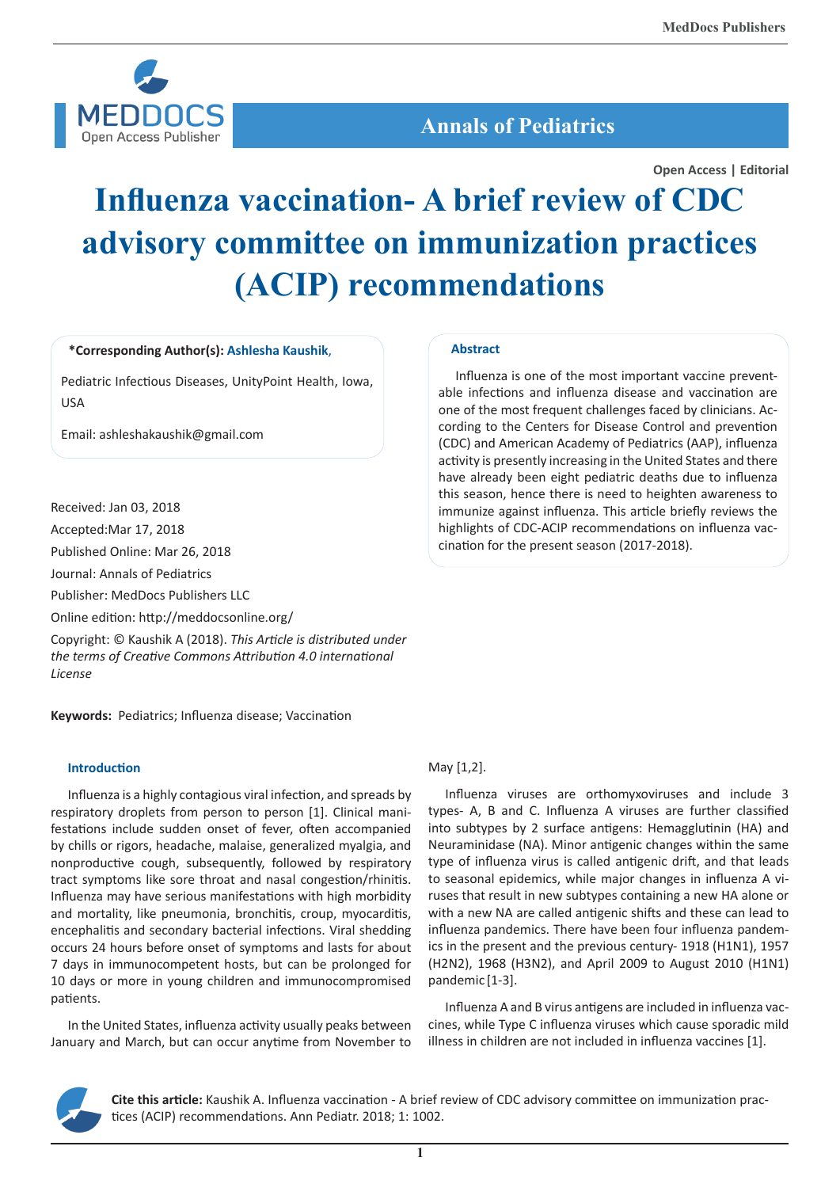

# **Annals of Pediatrics**

**Open Access | Editorial**

# **Influenza vaccination- A brief review of CDC advisory committee on immunization practices (ACIP) recommendations**

#### **\*Corresponding Author(s): Ashlesha Kaushik**,

Pediatric Infectious Diseases, UnityPoint Health, Iowa, USA

Email: ashleshakaushik@gmail.com

Received: Jan 03, 2018

Accepted:Mar 17, 2018

Published Online: Mar 26, 2018

Journal: Annals of Pediatrics

Publisher: MedDocs Publishers LLC

Online edition: http://meddocsonline.org/

Copyright: © Kaushik A (2018). *This Article is distributed under the terms of Creative Commons Attribution 4.0 international License*

**Keywords:** Pediatrics; Influenza disease; Vaccination

#### **Introduction**

Influenza is a highly contagious viral infection, and spreads by respiratory droplets from person to person [1]. Clinical manifestations include sudden onset of fever, often accompanied by chills or rigors, headache, malaise, generalized myalgia, and nonproductive cough, subsequently, followed by respiratory tract symptoms like sore throat and nasal congestion/rhinitis. Influenza may have serious manifestations with high morbidity and mortality, like pneumonia, bronchitis, croup, myocarditis, encephalitis and secondary bacterial infections. Viral shedding occurs 24 hours before onset of symptoms and lasts for about 7 days in immunocompetent hosts, but can be prolonged for 10 days or more in young children and immunocompromised patients.

In the United States, influenza activity usually peaks between January and March, but can occur anytime from November to

#### **Abstract**

Influenza is one of the most important vaccine preventable infections and influenza disease and vaccination are one of the most frequent challenges faced by clinicians. According to the Centers for Disease Control and prevention (CDC) and American Academy of Pediatrics (AAP), influenza activity is presently increasing in the United States and there have already been eight pediatric deaths due to influenza this season, hence there is need to heighten awareness to immunize against influenza. This article briefly reviews the highlights of CDC-ACIP recommendations on influenza vaccination for the present season (2017-2018).

#### May [1,2].

Influenza viruses are orthomyxoviruses and include 3 types- A, B and C. Influenza A viruses are further classified into subtypes by 2 surface antigens: Hemagglutinin (HA) and Neuraminidase (NA). Minor antigenic changes within the same type of influenza virus is called antigenic drift, and that leads to seasonal epidemics, while major changes in influenza A viruses that result in new subtypes containing a new HA alone or with a new NA are called antigenic shifts and these can lead to influenza pandemics. There have been four influenza pandemics in the present and the previous century- 1918 (H1N1), 1957 (H2N2), 1968 (H3N2), and April 2009 to August 2010 (H1N1) pandemic [1-3].

Influenza A and B virus antigens are included in influenza vaccines, while Type C influenza viruses which cause sporadic mild illness in children are not included in influenza vaccines [1].



**Cite this article:** Kaushik A. Influenza vaccination - A brief review of CDC advisory committee on immunization practices (ACIP) recommendations. Ann Pediatr. 2018; 1: 1002.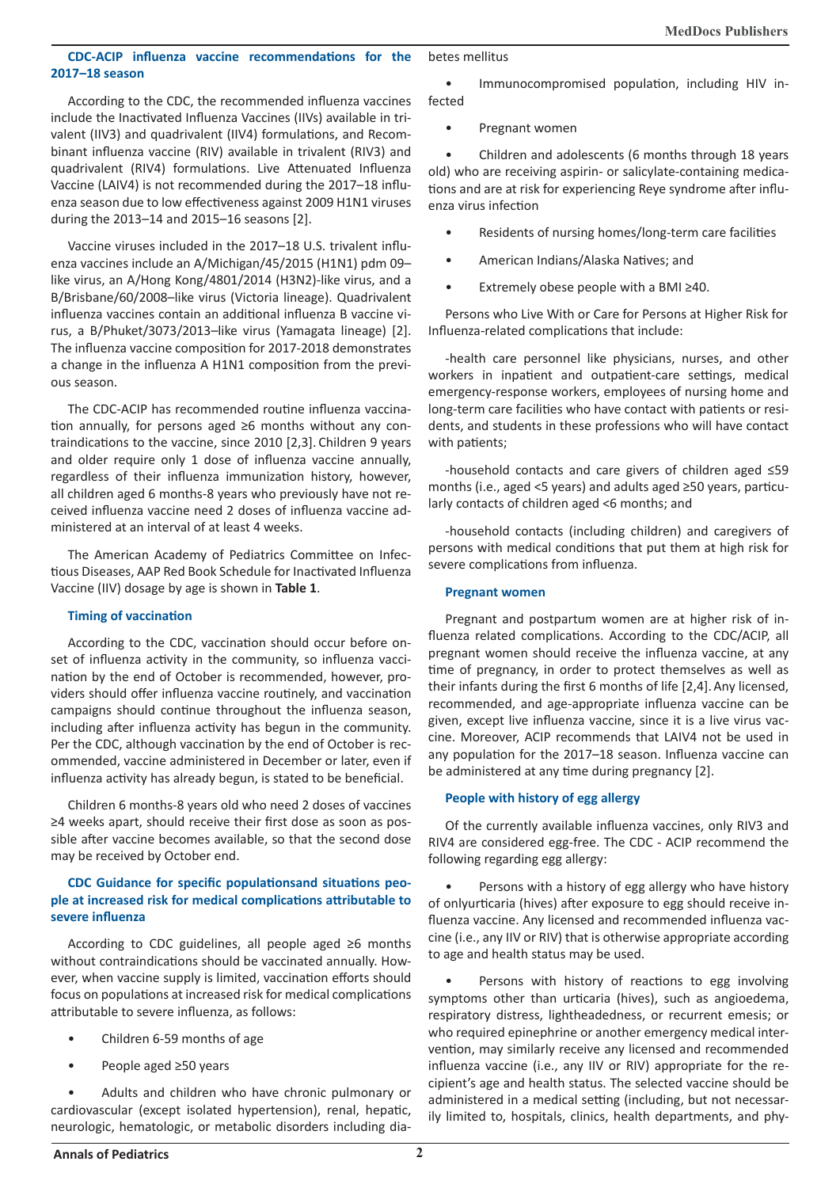# **CDC-ACIP influenza vaccine recommendations for the 2017–18 season**

According to the CDC, the recommended influenza vaccines include the Inactivated Influenza Vaccines (IIVs) available in trivalent (IIV3) and quadrivalent (IIV4) formulations, and Recombinant influenza vaccine (RIV) available in trivalent (RIV3) and quadrivalent (RIV4) formulations. Live Attenuated Influenza Vaccine (LAIV4) is not recommended during the 2017–18 influenza season due to low effectiveness against 2009 H1N1 viruses during the 2013–14 and 2015–16 seasons [2].

Vaccine viruses included in the 2017–18 U.S. trivalent influenza vaccines include an A/Michigan/45/2015 (H1N1) pdm 09– like virus, an A/Hong Kong/4801/2014 (H3N2)-like virus, and a B/Brisbane/60/2008–like virus (Victoria lineage). Quadrivalent influenza vaccines contain an additional influenza B vaccine virus, a B/Phuket/3073/2013–like virus (Yamagata lineage) [2]. The influenza vaccine composition for 2017-2018 demonstrates a change in the influenza A H1N1 composition from the previous season.

The CDC-ACIP has recommended routine influenza vaccination annually, for persons aged ≥6 months without any contraindications to the vaccine, since 2010 [2,3]. Children 9 years and older require only 1 dose of influenza vaccine annually, regardless of their influenza immunization history, however, all children aged 6 months-8 years who previously have not received influenza vaccine need 2 doses of influenza vaccine administered at an interval of at least 4 weeks.

The American Academy of Pediatrics Committee on Infectious Diseases, AAP Red Book Schedule for Inactivated Influenza Vaccine (IIV) dosage by age is shown in **Table 1**.

#### **Timing of vaccination**

According to the CDC, vaccination should occur before onset of influenza activity in the community, so influenza vaccination by the end of October is recommended, however, providers should offer influenza vaccine routinely, and vaccination campaigns should continue throughout the influenza season, including after influenza activity has begun in the community. Per the CDC, although vaccination by the end of October is recommended, vaccine administered in December or later, even if influenza activity has already begun, is stated to be beneficial.

Children 6 months-8 years old who need 2 doses of vaccines ≥4 weeks apart, should receive their first dose as soon as possible after vaccine becomes available, so that the second dose may be received by October end.

### **CDC Guidance for specific populationsand situations people at increased risk for medical complications attributable to severe influenza**

According to CDC guidelines, all people aged ≥6 months without contraindications should be vaccinated annually. However, when vaccine supply is limited, vaccination efforts should focus on populations at increased risk for medical complications attributable to severe influenza, as follows:

- Children 6-59 months of age
- People aged ≥50 years

Adults and children who have chronic pulmonary or cardiovascular (except isolated hypertension), renal, hepatic, neurologic, hematologic, or metabolic disorders including diabetes mellitus

• Immunocompromised population, including HIV infected

• Pregnant women

• Children and adolescents (6 months through 18 years old) who are receiving aspirin- or salicylate-containing medications and are at risk for experiencing Reye syndrome after influenza virus infection

- Residents of nursing homes/long-term care facilities
- American Indians/Alaska Natives; and
- Extremely obese people with a BMI  $\geq$ 40.

Persons who Live With or Care for Persons at Higher Risk for Influenza-related complications that include:

-health care personnel like physicians, nurses, and other workers in inpatient and outpatient-care settings, medical emergency-response workers, employees of nursing home and long-term care facilities who have contact with patients or residents, and students in these professions who will have contact with patients;

-household contacts and care givers of children aged ≤59 months (i.e., aged <5 years) and adults aged ≥50 years, particularly contacts of children aged <6 months; and

-household contacts (including children) and caregivers of persons with medical conditions that put them at high risk for severe complications from influenza.

## **Pregnant women**

Pregnant and postpartum women are at higher risk of influenza related complications. According to the CDC/ACIP, all pregnant women should receive the influenza vaccine, at any time of pregnancy, in order to protect themselves as well as their infants during the first 6 months of life [2,4].Any licensed, recommended, and age-appropriate influenza vaccine can be given, except live influenza vaccine, since it is a live virus vaccine. Moreover, ACIP recommends that LAIV4 not be used in any population for the 2017–18 season. Influenza vaccine can be administered at any time during pregnancy [2].

# **People with history of egg allergy**

Of the currently available influenza vaccines, only RIV3 and RIV4 are considered egg-free. The CDC - ACIP recommend the following regarding egg allergy:

Persons with a history of egg allergy who have history of onlyurticaria (hives) after exposure to egg should receive influenza vaccine. Any licensed and recommended influenza vaccine (i.e., any IIV or RIV) that is otherwise appropriate according to age and health status may be used.

Persons with history of reactions to egg involving symptoms other than urticaria (hives), such as angioedema, respiratory distress, lightheadedness, or recurrent emesis; or who required epinephrine or another emergency medical intervention, may similarly receive any licensed and recommended influenza vaccine (i.e., any IIV or RIV) appropriate for the recipient's age and health status. The selected vaccine should be administered in a medical setting (including, but not necessarily limited to, hospitals, clinics, health departments, and phy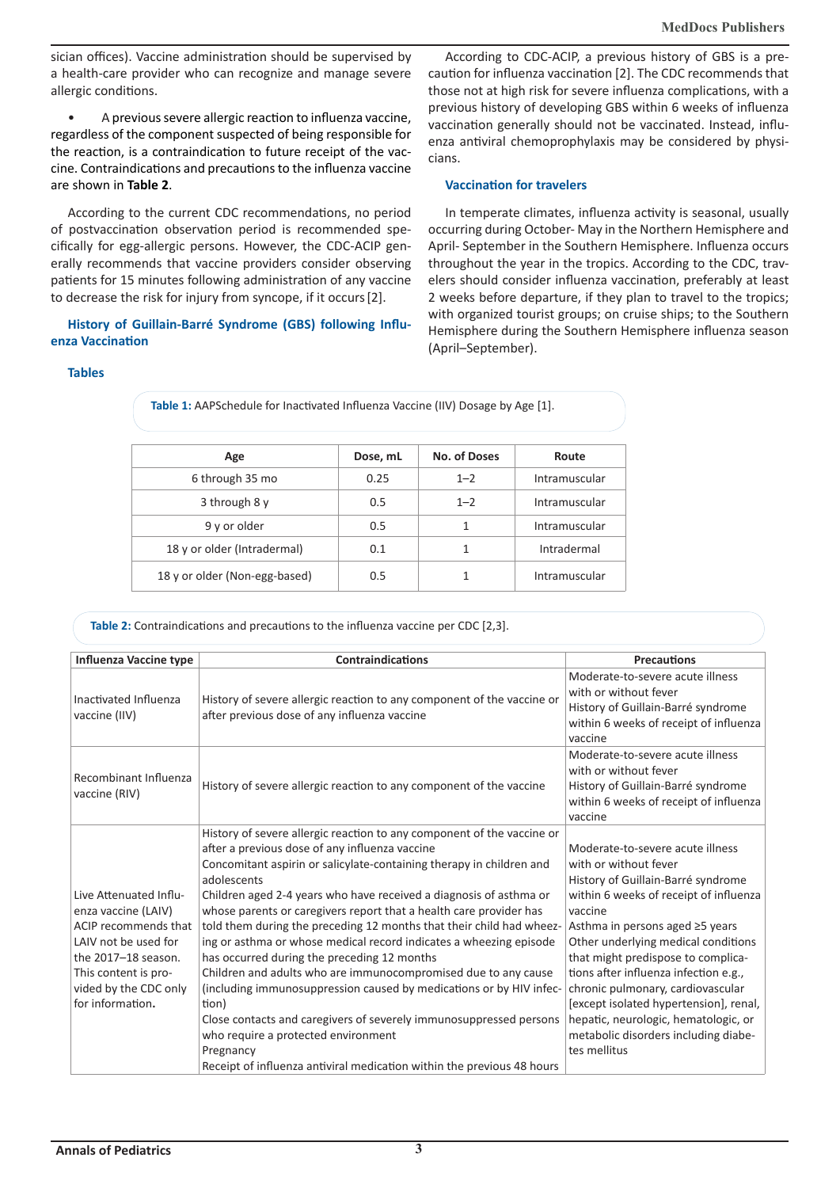sician offices). Vaccine administration should be supervised by a health-care provider who can recognize and manage severe allergic conditions.

• A previous severe allergic reaction to influenza vaccine, regardless of the component suspected of being responsible for the reaction, is a contraindication to future receipt of the vaccine. Contraindications and precautions to the influenza vaccine are shown in **Table 2**.

According to the current CDC recommendations, no period of postvaccination observation period is recommended specifically for egg-allergic persons. However, the CDC-ACIP generally recommends that vaccine providers consider observing patients for 15 minutes following administration of any vaccine to decrease the risk for injury from syncope, if it occurs[2].

**History of Guillain-Barré Syndrome (GBS) following Influenza Vaccination**

According to CDC-ACIP, a previous history of GBS is a precaution for influenza vaccination [2]. The CDC recommends that those not at high risk for severe influenza complications, with a previous history of developing GBS within 6 weeks of influenza vaccination generally should not be vaccinated. Instead, influenza antiviral chemoprophylaxis may be considered by physicians.

#### **Vaccination for travelers**

In temperate climates, influenza activity is seasonal, usually occurring during October- May in the Northern Hemisphere and April- September in the Southern Hemisphere. Influenza occurs throughout the year in the tropics. According to the CDC, travelers should consider influenza vaccination, preferably at least 2 weeks before departure, if they plan to travel to the tropics; with organized tourist groups; on cruise ships; to the Southern Hemisphere during the Southern Hemisphere influenza season (April–September).

#### **Tables**

**Age Dose, mL No. of Doses Route** 6 through 35 mo 0.25 1–2 Intramuscular 3 through 8 y 1 metal boost 1-2 latinum latinum and the 1-2 latinum latinum scular 9 y or older 0.5 1 Intramuscular 18 y or older (Intradermal) 0.1 1 Intradermal 18 y or older (Non-egg-based) 0.5 1 Intramuscular

**Table 1:** AAPSchedule for Inactivated Influenza Vaccine (IIV) Dosage by Age [1].

**Table 2:** Contraindications and precautions to the influenza vaccine per CDC [2,3].

| <b>Influenza Vaccine type</b>                                                                                                                                                             | <b>Contraindications</b>                                                                                                                                                                                                                                                                                                                                                                                                                                                                                                                                                                                                                                                                                                                                                                                                                                                                                       | <b>Precautions</b>                                                                                                                                                                                                                                                                                                                                                                                                                                                                           |
|-------------------------------------------------------------------------------------------------------------------------------------------------------------------------------------------|----------------------------------------------------------------------------------------------------------------------------------------------------------------------------------------------------------------------------------------------------------------------------------------------------------------------------------------------------------------------------------------------------------------------------------------------------------------------------------------------------------------------------------------------------------------------------------------------------------------------------------------------------------------------------------------------------------------------------------------------------------------------------------------------------------------------------------------------------------------------------------------------------------------|----------------------------------------------------------------------------------------------------------------------------------------------------------------------------------------------------------------------------------------------------------------------------------------------------------------------------------------------------------------------------------------------------------------------------------------------------------------------------------------------|
| Inactivated Influenza<br>vaccine (IIV)                                                                                                                                                    | History of severe allergic reaction to any component of the vaccine or<br>after previous dose of any influenza vaccine                                                                                                                                                                                                                                                                                                                                                                                                                                                                                                                                                                                                                                                                                                                                                                                         | Moderate-to-severe acute illness<br>with or without fever<br>History of Guillain-Barré syndrome<br>within 6 weeks of receipt of influenza<br>vaccine                                                                                                                                                                                                                                                                                                                                         |
| Recombinant Influenza<br>vaccine (RIV)                                                                                                                                                    | History of severe allergic reaction to any component of the vaccine                                                                                                                                                                                                                                                                                                                                                                                                                                                                                                                                                                                                                                                                                                                                                                                                                                            | Moderate-to-severe acute illness<br>with or without fever<br>History of Guillain-Barré syndrome<br>within 6 weeks of receipt of influenza<br>vaccine                                                                                                                                                                                                                                                                                                                                         |
| Live Attenuated Influ-<br>enza vaccine (LAIV)<br>ACIP recommends that<br>LAIV not be used for<br>the 2017-18 season.<br>This content is pro-<br>vided by the CDC only<br>for information. | History of severe allergic reaction to any component of the vaccine or<br>after a previous dose of any influenza vaccine<br>Concomitant aspirin or salicylate-containing therapy in children and<br>adolescents<br>Children aged 2-4 years who have received a diagnosis of asthma or<br>whose parents or caregivers report that a health care provider has<br>told them during the preceding 12 months that their child had wheez-<br>ing or asthma or whose medical record indicates a wheezing episode<br>has occurred during the preceding 12 months<br>Children and adults who are immunocompromised due to any cause<br>(including immunosuppression caused by medications or by HIV infec-<br>tion)<br>Close contacts and caregivers of severely immunosuppressed persons<br>who require a protected environment<br>Pregnancy<br>Receipt of influenza antiviral medication within the previous 48 hours | Moderate-to-severe acute illness<br>with or without fever<br>History of Guillain-Barré syndrome<br>within 6 weeks of receipt of influenza<br>vaccine<br>Asthma in persons aged ≥5 years<br>Other underlying medical conditions<br>that might predispose to complica-<br>tions after influenza infection e.g.,<br>chronic pulmonary, cardiovascular<br>[except isolated hypertension], renal,<br>hepatic, neurologic, hematologic, or<br>metabolic disorders including diabe-<br>tes mellitus |